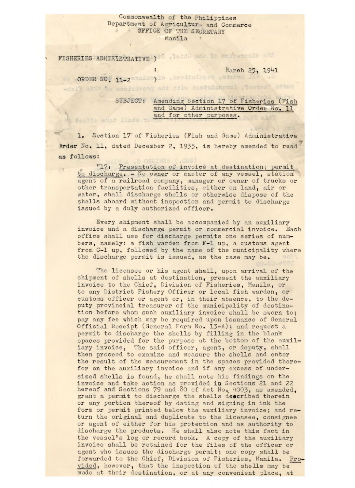## Commonwealth of the Philippines Department of Agriculture and Commerce OFFICE OF THE SECRETARY Manila

FISHERIES ADMINISTRATIVE ) Is it as it are the same of the

March 25, 1941

do ORDER NO, 11-2 analusylo , apoidaluses , arahac fin .S<br>-dal% akdd is anolaivong and dilw duataianooni , teanedi ainad

SUBJECT: Amending Section 17 of Fisheries (Fish and Game) Administrative Order No. 11 and for other purposes. foollo sind IInda. ta

1. Section 17 of Fisheries (Fish and Game) Administrative rder No. 11, dated December 2, 1935, is hereby amended to read as follows:

"174 Presentation of invoice at destination; permit to discharge. - No owner or master of any vessel, station agent of a railroad company, manager or owner of trucks or other transportation facilities, either on land, air or water, shall discharge shells or otherwise dispose of the shells aboard without inspection and permit to discharge issued by a duly authorized officer.

Every shipment shall be accompanied by an auxiliary invoice and a discharge permit or commercial invoice. Each office shall use for discharge permits one series of numbers, namely: a fish warden from F-1 up, a customs agent from C-1 up, followed by the name of the municipality where the discharge permit is issued, as the case may be.

The licensee or his agent shall, upon arrival of the shipment of shells at destination, present the auxiliary invoice to the Chief, Division of Fisheries, Manila, or to any District Fishery Officer or local fish warden, or customs officer or agent or, in their absence, to the deputy provincial treasurer of the municipality of destination before whom such auxiliary invoice shall be sworn to; pay any fee which may be required upon issuance of General Official Receipt (General Form No. 13-A); and request a permit to discharge the shells by filling in the blank spaces provided for the purpose at the bottom of the auxiliary invoice, The said officer, agent, or deputy, shall then proceed to examine and measure the shells and enter the result of the measurement in the spaces provided therefor on the auxiliary invoice and if any excess of undersized shells is found, he shall note his findings on the invoice and take action as provided in Sections 21 and 22 hereof and Sections 79 and 80 of Act No. 4003, as amended, grant a permit to discharge the shells described therein or any portion thereof by dating and signing in ink the form or permit printed below the auxiliary invoice; and return the original and duplicate to the licensee, consignee or agent of either for his protection and as authority to discharge the products. He shall also note this fact in the vessel's log or record book. A copy of the auxiliary invoice shall be retained for the files of the officer or agent who issues the discharge permit; one copy shall be forwarded to the Chief, Division of Fisheries, Manila, Provided, however, that the inspection of the shells may be made at their destination, or at any convenient place, at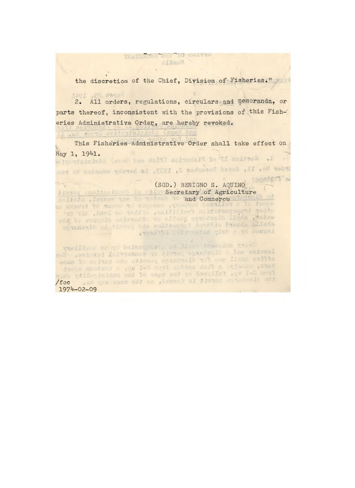the discretion of the Chief, Division of Fisheries."

2. All orders, regulations, circulars and Memoranda, or parts thereof, inconsistent with the provisions of this Fish-' cries Administrative Ordex, are hereby revoked.

YHATHADHE TEHT TO CULTIC FilmsM

This Fisheries Administrative Order shall take effect on May 1, 1941.<br>WiddelminbA (enge ame nail) sainedait to yf moissad .f

rder No. 11, dated December 2, 1935, is hereby amended to ren teworffot a (sGD.) BENIGNO S. AQUINO Secretary of Agriculture and Commerce ogianeals of there has noticed tooning bineds allada issoftia Bearmonths yinh sayd housaf Trailinus on nd beinegnosch od Ainda tnomqina grevi invoice and a discharge permit, or commercial invoice. Eac which was first discharge portion one sortie not anny

bers, namely: a fish worden from F-1 up. a customs syset from C-1 up. followed by the name of the municipality where<br>the discharge permit is issued, as the case way be. Ool

1974-02-09

LE .OL TOLT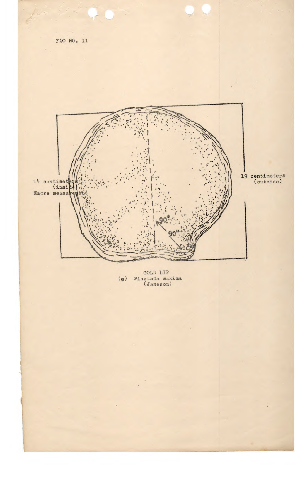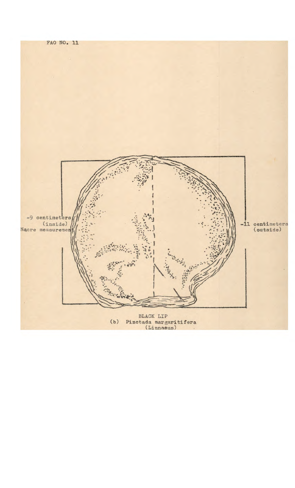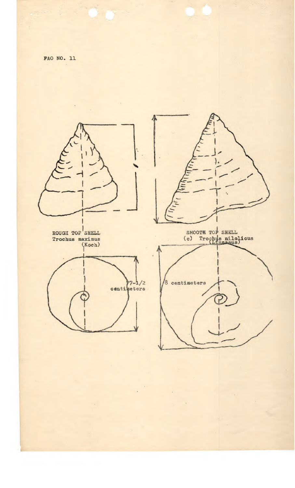

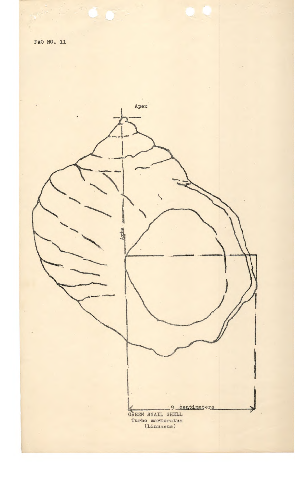

 $\ddot{\psi}$